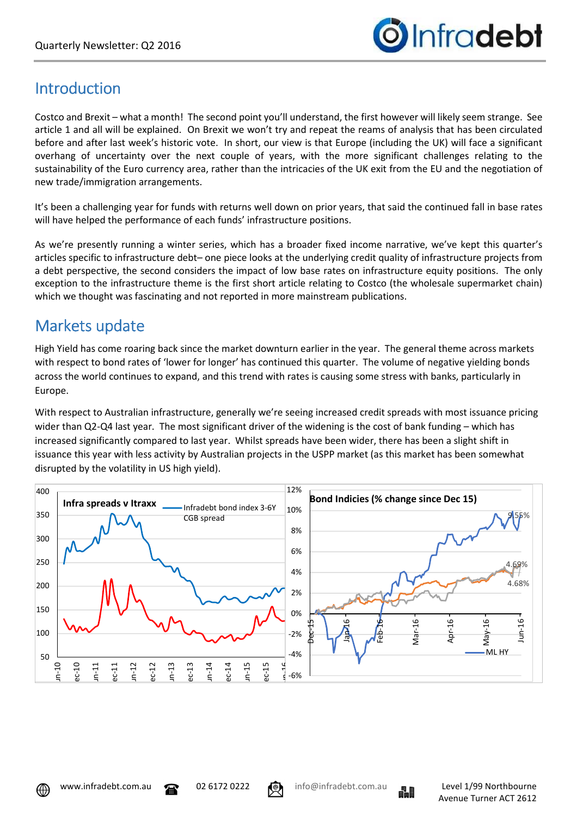

### Introduction

Costco and Brexit – what a month! The second point you'll understand, the first however will likely seem strange. See article 1 and all will be explained. On Brexit we won't try and repeat the reams of analysis that has been circulated before and after last week's historic vote. In short, our view is that Europe (including the UK) will face a significant overhang of uncertainty over the next couple of years, with the more significant challenges relating to the sustainability of the Euro currency area, rather than the intricacies of the UK exit from the EU and the negotiation of new trade/immigration arrangements.

It's been a challenging year for funds with returns well down on prior years, that said the continued fall in base rates will have helped the performance of each funds' infrastructure positions.

As we're presently running a winter series, which has a broader fixed income narrative, we've kept this quarter's articles specific to infrastructure debt– one piece looks at the underlying credit quality of infrastructure projects from a debt perspective, the second considers the impact of low base rates on infrastructure equity positions. The only exception to the infrastructure theme is the first short article relating to Costco (the wholesale supermarket chain) which we thought was fascinating and not reported in more mainstream publications.

## Markets update

High Yield has come roaring back since the market downturn earlier in the year. The general theme across markets with respect to bond rates of 'lower for longer' has continued this quarter. The volume of negative yielding bonds across the world continues to expand, and this trend with rates is causing some stress with banks, particularly in Europe.

With respect to Australian infrastructure, generally we're seeing increased credit spreads with most issuance pricing wider than Q2-Q4 last year. The most significant driver of the widening is the cost of bank funding – which has increased significantly compared to last year. Whilst spreads have been wider, there has been a slight shift in issuance this year with less activity by Australian projects in the USPP market (as this market has been somewhat disrupted by the volatility in US high yield).





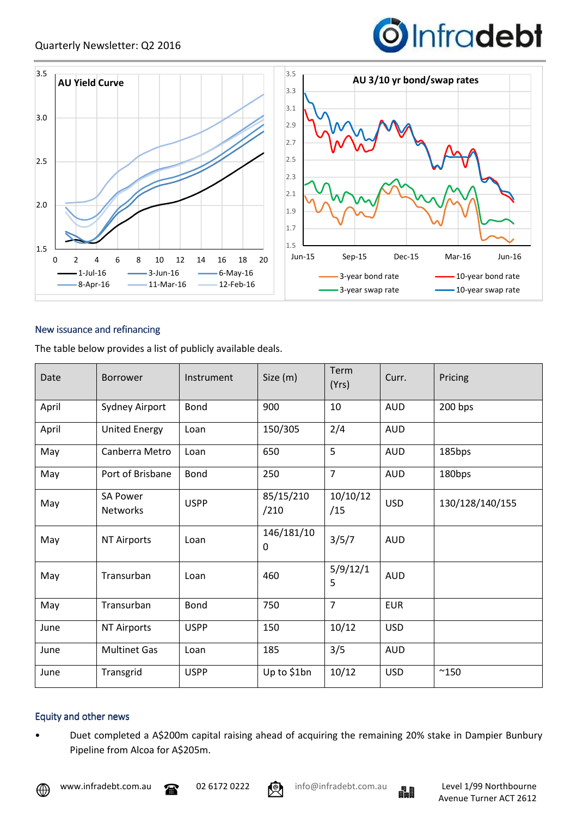



#### New issuance and refinancing

The table below provides a list of publicly available deals.

| Date  | <b>Borrower</b>                    | Instrument  | Size (m)          | Term<br>(Yrs)   | Curr.      | Pricing         |
|-------|------------------------------------|-------------|-------------------|-----------------|------------|-----------------|
| April | Sydney Airport                     | Bond        | 900               | 10              | <b>AUD</b> | 200 bps         |
| April | <b>United Energy</b>               | Loan        | 150/305           | 2/4             | <b>AUD</b> |                 |
| May   | Canberra Metro                     | Loan        | 650               | 5               | <b>AUD</b> | 185bps          |
| May   | Port of Brisbane                   | Bond        | 250               | $\overline{7}$  | <b>AUD</b> | 180bps          |
| May   | <b>SA Power</b><br><b>Networks</b> | <b>USPP</b> | 85/15/210<br>/210 | 10/10/12<br>/15 | <b>USD</b> | 130/128/140/155 |
| May   | <b>NT Airports</b>                 | Loan        | 146/181/10<br>0   | 3/5/7           | <b>AUD</b> |                 |
| May   | Transurban                         | Loan        | 460               | 5/9/12/1<br>5   | <b>AUD</b> |                 |
| May   | Transurban                         | Bond        | 750               | $\overline{7}$  | <b>EUR</b> |                 |
| June  | NT Airports                        | <b>USPP</b> | 150               | 10/12           | <b>USD</b> |                 |
| June  | <b>Multinet Gas</b>                | Loan        | 185               | 3/5             | AUD        |                 |
| June  | Transgrid                          | <b>USPP</b> | Up to \$1bn       | 10/12           | <b>USD</b> | $^{\sim}$ 150   |

#### Equity and other news

• Duet completed a A\$200m capital raising ahead of acquiring the remaining 20% stake in Dampier Bunbury Pipeline from Alcoa for A\$205m.



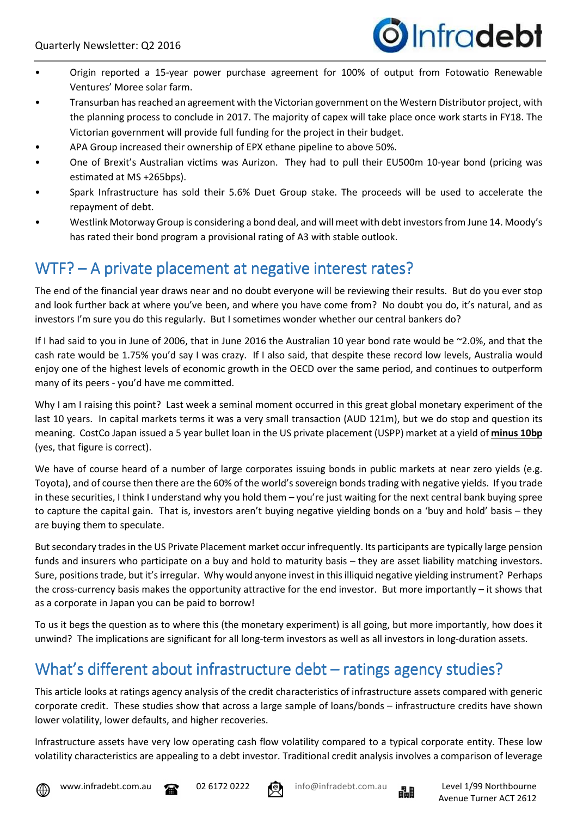

- Origin reported a 15-year power purchase agreement for 100% of output from Fotowatio Renewable Ventures' Moree solar farm.
- Transurban has reached an agreement with the Victorian government on the Western Distributor project, with the planning process to conclude in 2017. The majority of capex will take place once work starts in FY18. The Victorian government will provide full funding for the project in their budget.
- APA Group increased their ownership of EPX ethane pipeline to above 50%.
- One of Brexit's Australian victims was Aurizon. They had to pull their EU500m 10-year bond (pricing was estimated at MS +265bps).
- Spark Infrastructure has sold their 5.6% Duet Group stake. The proceeds will be used to accelerate the repayment of debt.
- Westlink Motorway Group is considering a bond deal, and will meet with debt investors from June 14. Moody's has rated their bond program a provisional rating of A3 with stable outlook.

## WTF? – A private placement at negative interest rates?

The end of the financial year draws near and no doubt everyone will be reviewing their results. But do you ever stop and look further back at where you've been, and where you have come from? No doubt you do, it's natural, and as investors I'm sure you do this regularly. But I sometimes wonder whether our central bankers do?

If I had said to you in June of 2006, that in June 2016 the Australian 10 year bond rate would be ~2.0%, and that the cash rate would be 1.75% you'd say I was crazy. If I also said, that despite these record low levels, Australia would enjoy one of the highest levels of economic growth in the OECD over the same period, and continues to outperform many of its peers - you'd have me committed.

Why I am I raising this point? Last week a seminal moment occurred in this great global monetary experiment of the last 10 years. In capital markets terms it was a very small transaction (AUD 121m), but we do stop and question its meaning. CostCo Japan issued a 5 year bullet loan in the US private placement (USPP) market at a yield of **minus 10bp** (yes, that figure is correct).

We have of course heard of a number of large corporates issuing bonds in public markets at near zero yields (e.g. Toyota), and of course then there are the 60% of the world's sovereign bonds trading with negative yields. If you trade in these securities, I think I understand why you hold them – you're just waiting for the next central bank buying spree to capture the capital gain. That is, investors aren't buying negative yielding bonds on a 'buy and hold' basis – they are buying them to speculate.

But secondary trades in the US Private Placement market occur infrequently. Its participants are typically large pension funds and insurers who participate on a buy and hold to maturity basis – they are asset liability matching investors. Sure, positions trade, but it's irregular. Why would anyone invest in this illiquid negative yielding instrument? Perhaps the cross-currency basis makes the opportunity attractive for the end investor. But more importantly – it shows that as a corporate in Japan you can be paid to borrow!

To us it begs the question as to where this (the monetary experiment) is all going, but more importantly, how does it unwind? The implications are significant for all long-term investors as well as all investors in long-duration assets.

# What's different about infrastructure debt – ratings agency studies?

This article looks at ratings agency analysis of the credit characteristics of infrastructure assets compared with generic corporate credit. These studies show that across a large sample of loans/bonds – infrastructure credits have shown lower volatility, lower defaults, and higher recoveries.

Infrastructure assets have very low operating cash flow volatility compared to a typical corporate entity. These low volatility characteristics are appealing to a debt investor. Traditional credit analysis involves a comparison of leverage





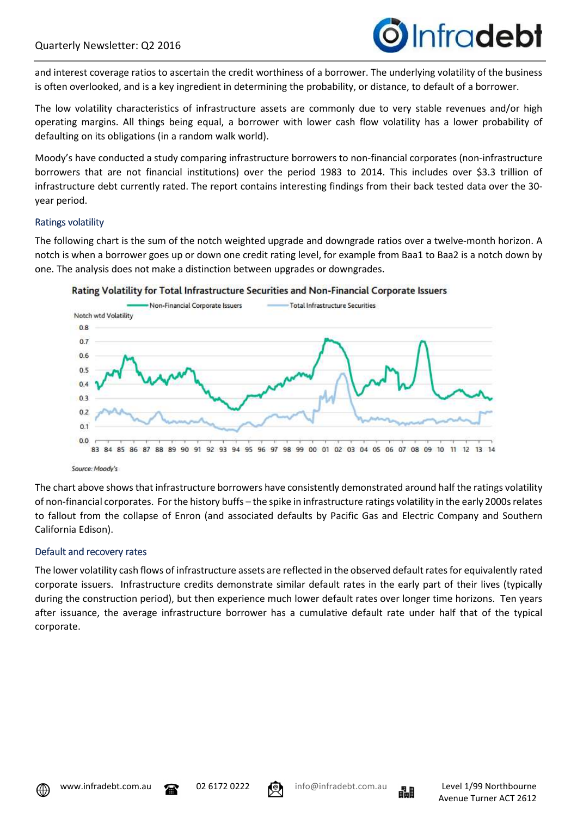

and interest coverage ratios to ascertain the credit worthiness of a borrower. The underlying volatility of the business is often overlooked, and is a key ingredient in determining the probability, or distance, to default of a borrower.

The low volatility characteristics of infrastructure assets are commonly due to very stable revenues and/or high operating margins. All things being equal, a borrower with lower cash flow volatility has a lower probability of defaulting on its obligations (in a random walk world).

Moody's have conducted a study comparing infrastructure borrowers to non-financial corporates (non-infrastructure borrowers that are not financial institutions) over the period 1983 to 2014. This includes over \$3.3 trillion of infrastructure debt currently rated. The report contains interesting findings from their back tested data over the 30 year period.

#### **Ratings volatility**

The following chart is the sum of the notch weighted upgrade and downgrade ratios over a twelve-month horizon. A notch is when a borrower goes up or down one credit rating level, for example from Baa1 to Baa2 is a notch down by one. The analysis does not make a distinction between upgrades or downgrades.





The chart above shows that infrastructure borrowers have consistently demonstrated around half the ratings volatility of non-financial corporates. For the history buffs – the spike in infrastructure ratings volatility in the early 2000s relates to fallout from the collapse of Enron (and associated defaults by Pacific Gas and Electric Company and Southern California Edison).

#### Default and recovery rates

The lower volatility cash flows of infrastructure assets are reflected in the observed default rates for equivalently rated corporate issuers. Infrastructure credits demonstrate similar default rates in the early part of their lives (typically during the construction period), but then experience much lower default rates over longer time horizons. Ten years after issuance, the average infrastructure borrower has a cumulative default rate under half that of the typical corporate.





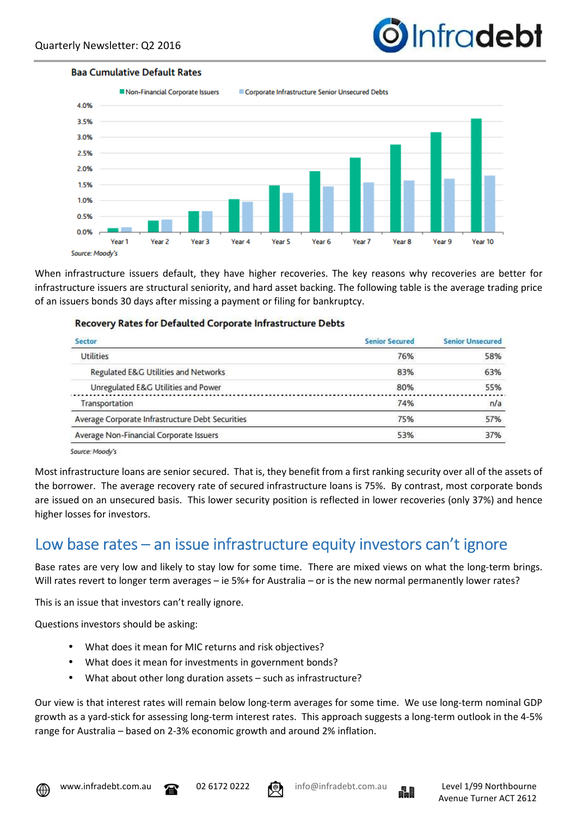

#### **Baa Cumulative Default Rates**



When infrastructure issuers default, they have higher recoveries. The key reasons why recoveries are better for infrastructure issuers are structural seniority, and hard asset backing. The following table is the average trading price of an issuers bonds 30 days after missing a payment or filing for bankruptcy.

#### **Recovery Rates for Defaulted Corporate Infrastructure Debts**

| <b>Senior Secured</b> | <b>Senior Unsecured</b> |
|-----------------------|-------------------------|
| 76%                   | 58%                     |
| 83%                   | 63%                     |
| 80%                   | 55%                     |
| 74%                   | n/a                     |
| 75%                   | 57%                     |
| 53%                   | 37%                     |
|                       |                         |

Source: Moody's

Most infrastructure loans are senior secured. That is, they benefit from a first ranking security over all of the assets of the borrower. The average recovery rate of secured infrastructure loans is 75%. By contrast, most corporate bonds are issued on an unsecured basis. This lower security position is reflected in lower recoveries (only 37%) and hence higher losses for investors.

### Low base rates – an issue infrastructure equity investors can't ignore

Base rates are very low and likely to stay low for some time. There are mixed views on what the long-term brings. Will rates revert to longer term averages – ie 5%+ for Australia – or is the new normal permanently lower rates?

This is an issue that investors can't really ignore.

Questions investors should be asking:

- What does it mean for MIC returns and risk objectives?
- What does it mean for investments in government bonds?
- What about other long duration assets such as infrastructure?

Our view is that interest rates will remain below long-term averages for some time. We use long-term nominal GDP growth as a yard-stick for assessing long-term interest rates. This approach suggests a long-term outlook in the 4-5% range for Australia – based on 2-3% economic growth and around 2% inflation.







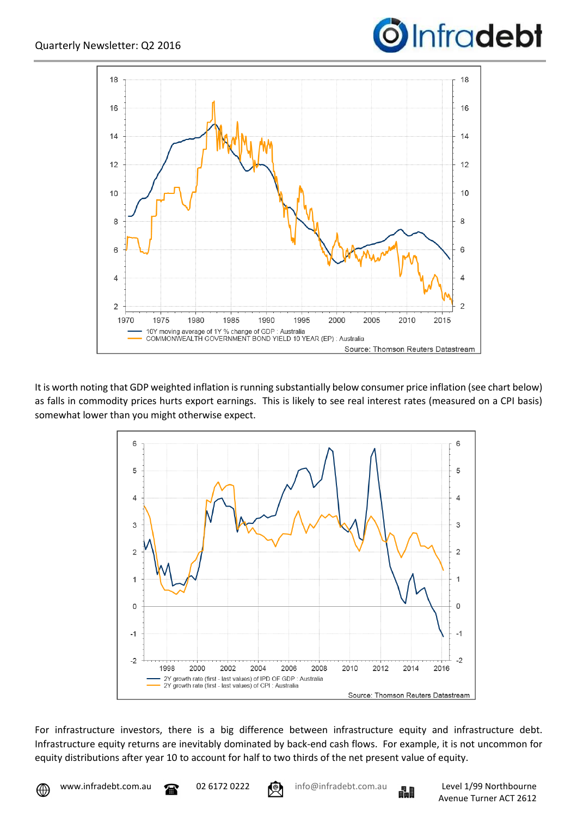



It is worth noting that GDP weighted inflation is running substantially below consumer price inflation (see chart below) as falls in commodity prices hurts export earnings. This is likely to see real interest rates (measured on a CPI basis) somewhat lower than you might otherwise expect.



For infrastructure investors, there is a big difference between infrastructure equity and infrastructure debt. Infrastructure equity returns are inevitably dominated by back-end cash flows. For example, it is not uncommon for equity distributions after year 10 to account for half to two thirds of the net present value of equity.